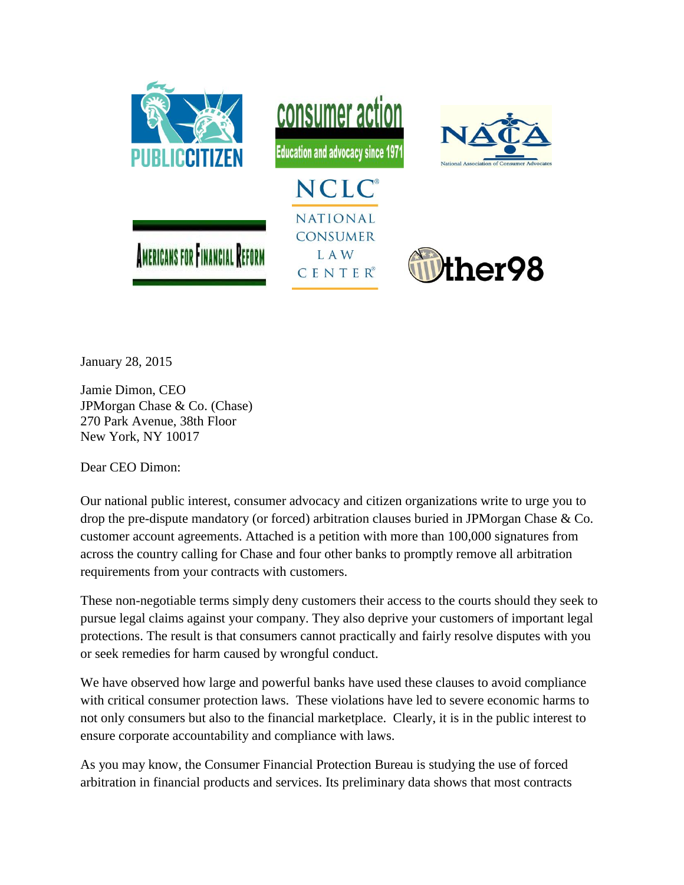

January 28, 2015

Jamie Dimon, CEO JPMorgan Chase & Co. (Chase) 270 Park Avenue, 38th Floor New York, NY 10017

Dear CEO Dimon:

Our national public interest, consumer advocacy and citizen organizations write to urge you to drop the pre-dispute mandatory (or forced) arbitration clauses buried in JPMorgan Chase & Co. customer account agreements. Attached is a petition with more than 100,000 signatures from across the country calling for Chase and four other banks to promptly remove all arbitration requirements from your contracts with customers.

These non-negotiable terms simply deny customers their access to the courts should they seek to pursue legal claims against your company. They also deprive your customers of important legal protections. The result is that consumers cannot practically and fairly resolve disputes with you or seek remedies for harm caused by wrongful conduct.

We have observed how large and powerful banks have used these clauses to avoid compliance with critical consumer protection laws. These violations have led to severe economic harms to not only consumers but also to the financial marketplace. Clearly, it is in the public interest to ensure corporate accountability and compliance with laws.

As you may know, the Consumer Financial Protection Bureau is studying the use of forced arbitration in financial products and services. Its preliminary data shows that most contracts